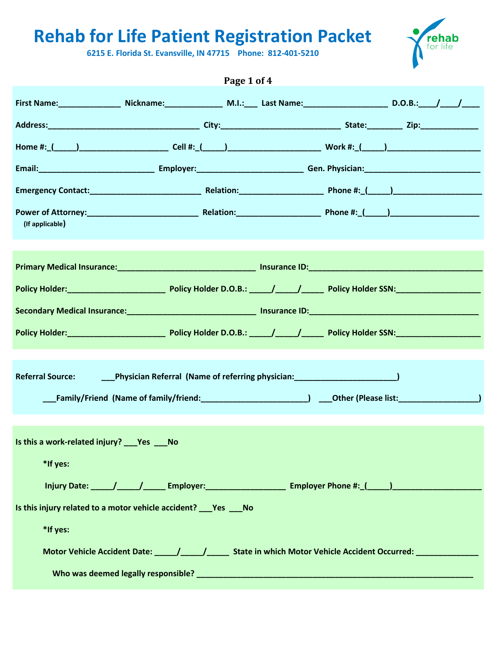**6215 E. Florida St. Evansville, IN 47715 Phone: 812-401-5210**



|                                                                                                                              |                                                                                                                | Page 1 of 4 |  |  |
|------------------------------------------------------------------------------------------------------------------------------|----------------------------------------------------------------------------------------------------------------|-------------|--|--|
| First Name: _________________ Nickname: _______________ M.I.: ____ Last Name: _________________________ D.O.B.: ____/ _____/ |                                                                                                                |             |  |  |
|                                                                                                                              |                                                                                                                |             |  |  |
|                                                                                                                              |                                                                                                                |             |  |  |
|                                                                                                                              |                                                                                                                |             |  |  |
|                                                                                                                              |                                                                                                                |             |  |  |
| (If applicable)                                                                                                              |                                                                                                                |             |  |  |
|                                                                                                                              |                                                                                                                |             |  |  |
|                                                                                                                              |                                                                                                                |             |  |  |
|                                                                                                                              |                                                                                                                |             |  |  |
|                                                                                                                              |                                                                                                                |             |  |  |
| <b>Referral Source:</b><br>a<br>Santa                                                                                        | Physician Referral (Name of referring physician: _______________________________                               |             |  |  |
| Is this a work-related injury? Pes No                                                                                        |                                                                                                                |             |  |  |
| *If yes:                                                                                                                     |                                                                                                                |             |  |  |
|                                                                                                                              | Injury Date: _____/_____/________Employer:_____________________________Employer Phone #:_(_____)______________ |             |  |  |
| Is this injury related to a motor vehicle accident?    Nes    No                                                             |                                                                                                                |             |  |  |
| *If yes:                                                                                                                     |                                                                                                                |             |  |  |
|                                                                                                                              | Motor Vehicle Accident Date: _____/_____/__________ State in which Motor Vehicle Accident Occurred: __________ |             |  |  |
|                                                                                                                              |                                                                                                                |             |  |  |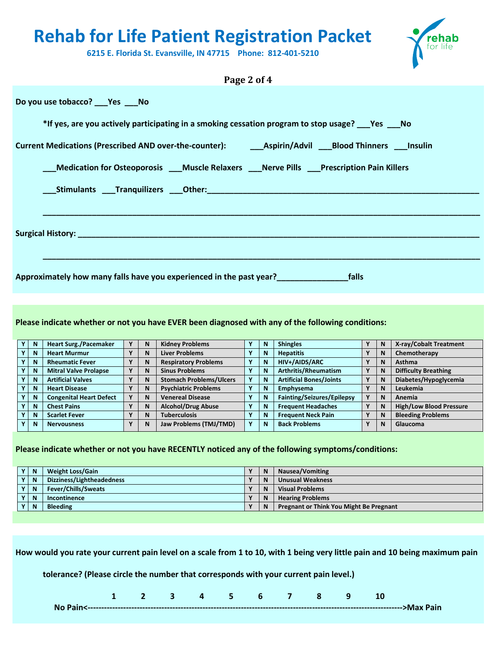

**6215 E. Florida St. Evansville, IN 47715 Phone: 812-401-5210**

# **Page 2 of 4 Do you use tobacco? \_\_\_Yes \_\_\_No \*If yes, are you actively participating in a smoking cessation program to stop usage? \_\_\_Yes \_\_\_No Current Medications (Prescribed AND over-the-counter): \_\_\_Aspirin/Advil \_\_\_Blood Thinners \_\_\_Insulin \_\_\_Medication for Osteoporosis \_\_\_Muscle Relaxers \_\_\_Nerve Pills \_\_\_Prescription Pain Killers \_\_\_Stimulants \_\_\_Tranquilizers \_\_\_Other:\_\_\_\_\_\_\_\_\_\_\_\_\_\_\_\_\_\_\_\_\_\_\_\_\_\_\_\_\_\_\_\_\_\_\_\_\_\_\_\_\_\_\_\_\_\_\_\_\_\_\_\_\_\_\_\_\_\_\_\_\_ \_\_\_\_\_\_\_\_\_\_\_\_\_\_\_\_\_\_\_\_\_\_\_\_\_\_\_\_\_\_\_\_\_\_\_\_\_\_\_\_\_\_\_\_\_\_\_\_\_\_\_\_\_\_\_\_\_\_\_\_\_\_\_\_\_\_\_\_\_\_\_\_\_\_\_\_\_\_\_\_\_\_\_\_\_\_\_\_\_\_\_\_\_\_\_\_\_\_ Surgical History: \_\_\_\_\_\_\_\_\_\_\_\_\_\_\_\_\_\_\_\_\_\_\_\_\_\_\_\_\_\_\_\_\_\_\_\_\_\_\_\_\_\_\_\_\_\_\_\_\_\_\_\_\_\_\_\_\_\_\_\_\_\_\_\_\_\_\_\_\_\_\_\_\_\_\_\_\_\_\_\_\_\_\_\_\_\_\_\_\_\_ \_\_\_\_\_\_\_\_\_\_\_\_\_\_\_\_\_\_\_\_\_\_\_\_\_\_\_\_\_\_\_\_\_\_\_\_\_\_\_\_\_\_\_\_\_\_\_\_\_\_\_\_\_\_\_\_\_\_\_\_\_\_\_\_\_\_\_\_\_\_\_\_\_\_\_\_\_\_\_\_\_\_\_\_\_\_\_\_\_\_\_\_\_\_\_\_\_\_ Approximately how many falls have you experienced in the past year?\_\_\_\_\_\_\_\_\_\_\_\_\_\_\_\_falls**

**Please indicate whether or not you have EVER been diagnosed with any of the following conditions:**

| N           | <b>Heart Surg./Pacemaker</b>   |              | N | <b>Kidney Problems</b>         | N | <b>Shingles</b>                |              | N | X-ray/Cobalt Treatment         |
|-------------|--------------------------------|--------------|---|--------------------------------|---|--------------------------------|--------------|---|--------------------------------|
| $\mathbf N$ | <b>Heart Murmur</b>            |              | N | <b>Liver Problems</b>          | N | <b>Hepatitis</b>               |              | N | Chemotherapy                   |
| N           | <b>Rheumatic Fever</b>         |              | N | <b>Respiratory Problems</b>    | N | HIV+/AIDS/ARC                  | $\mathbf{v}$ | N | <b>Asthma</b>                  |
| N           | <b>Mitral Valve Prolapse</b>   | $\mathbf{v}$ | N | <b>Sinus Problems</b>          | N | Arthritis/Rheumatism           | $\mathbf v$  | N | <b>Difficulty Breathing</b>    |
| N           | <b>Artificial Valves</b>       |              | N | <b>Stomach Problems/Ulcers</b> | N | <b>Artificial Bones/Joints</b> | Υ            | N | Diabetes/Hypoglycemia          |
| N           | <b>Heart Disease</b>           |              | N | <b>Psychiatric Problems</b>    | N | Emphysema                      | v            | N | Leukemia                       |
| N           | <b>Congenital Heart Defect</b> |              | N | <b>Venereal Disease</b>        | N | Fainting/Seizures/Epilepsy     | $\mathbf{v}$ | N | Anemia                         |
| N           | <b>Chest Pains</b>             | $\mathbf{v}$ | N | <b>Alcohol/Drug Abuse</b>      | N | <b>Frequent Headaches</b>      | $\mathbf{v}$ | N | <b>High/Low Blood Pressure</b> |
| N           | <b>Scarlet Fever</b>           |              | N | <b>Tuberculosis</b>            | N | <b>Frequent Neck Pain</b>      | $\mathbf v$  | N | <b>Bleeding Problems</b>       |
| N           | <b>Nervousness</b>             | $\mathbf{v}$ | N | Jaw Problems (TMJ/TMD)         | N | <b>Back Problems</b>           | γ            | N | Glaucoma                       |

#### **Please indicate whether or not you have RECENTLY noticed any of the following symptoms/conditions:**

| Y            | N | <b>Weight Loss/Gain</b>    |              | N | Nausea/Vomiting                         |
|--------------|---|----------------------------|--------------|---|-----------------------------------------|
| Y            | N | Dizziness/Lightheadedness  | $\mathbf{v}$ | N | <b>Unusual Weakness</b>                 |
| Υ            | N | <b>Fever/Chills/Sweats</b> | $\mathbf{v}$ | N | <b>Visual Problems</b>                  |
| Y            | N | Incontinence               | $\mathbf{v}$ | N | <b>Hearing Problems</b>                 |
| $\mathbf{v}$ | N | <b>Bleeding</b>            | $\mathbf{v}$ | N | Pregnant or Think You Might Be Pregnant |
|              |   |                            |              |   |                                         |

**How would you rate your current pain level on a scale from 1 to 10, with 1 being very little pain and 10 being maximum pain**

**tolerance? (Please circle the number that corresponds with your current pain level.)**

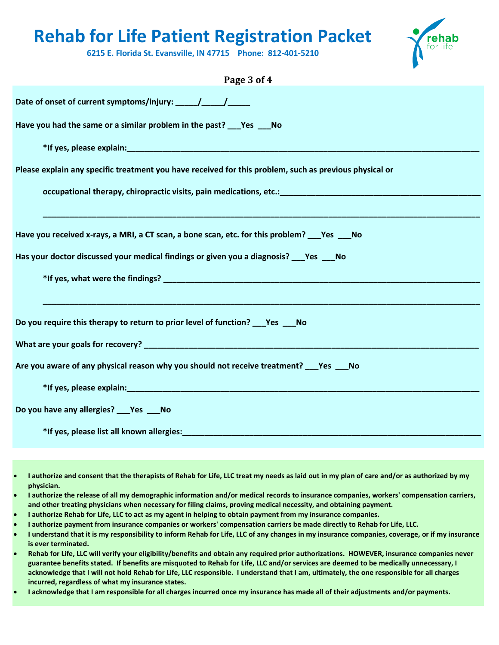

**6215 E. Florida St. Evansville, IN 47715 Phone: 812-401-5210**

| Page 3 of 4                                                                                                                                                                                                                    |
|--------------------------------------------------------------------------------------------------------------------------------------------------------------------------------------------------------------------------------|
|                                                                                                                                                                                                                                |
| Have you had the same or a similar problem in the past? ___ Yes ___ No                                                                                                                                                         |
|                                                                                                                                                                                                                                |
| Please explain any specific treatment you have received for this problem, such as previous physical or                                                                                                                         |
| occupational therapy, chiropractic visits, pain medications, etc.: <b>Chinagon and the set of the set of the set of</b>                                                                                                        |
|                                                                                                                                                                                                                                |
| Have you received x-rays, a MRI, a CT scan, a bone scan, etc. for this problem? Yes No                                                                                                                                         |
| Has your doctor discussed your medical findings or given you a diagnosis? ___ Yes ___ No                                                                                                                                       |
|                                                                                                                                                                                                                                |
|                                                                                                                                                                                                                                |
| Do you require this therapy to return to prior level of function? ___ Yes ___ No                                                                                                                                               |
| What are your goals for recovery? The contract of the contract of the contract of the contract of the contract of the contract of the contract of the contract of the contract of the contract of the contract of the contract |
| Are you aware of any physical reason why you should not receive treatment? ___ Yes ___ No                                                                                                                                      |
|                                                                                                                                                                                                                                |
| Do you have any allergies?  Yes  No                                                                                                                                                                                            |
| *If yes, please list all known allergies: North and the state of the state of the state of the state of the state of the state of the state of the state of the state of the state of the state of the state of the state of t |

- **I authorize and consent that the therapists of Rehab for Life, LLC treat my needs as laid out in my plan of care and/or as authorized by my physician.**
- **I authorize the release of all my demographic information and/or medical records to insurance companies, workers' compensation carriers, and other treating physicians when necessary for filing claims, proving medical necessity, and obtaining payment.**
- **I authorize Rehab for Life, LLC to act as my agent in helping to obtain payment from my insurance companies.**
- **I authorize payment from insurance companies or workers' compensation carriers be made directly to Rehab for Life, LLC.**
- **I understand that it is my responsibility to inform Rehab for Life, LLC of any changes in my insurance companies, coverage, or if my insurance is ever terminated.**
- **Rehab for Life, LLC will verify your eligibility/benefits and obtain any required prior authorizations. HOWEVER, insurance companies never guarantee benefits stated. If benefits are misquoted to Rehab for Life, LLC and/or services are deemed to be medically unnecessary, I acknowledge that I will not hold Rehab for Life, LLC responsible. I understand that I am, ultimately, the one responsible for all charges incurred, regardless of what my insurance states.**
- **I acknowledge that I am responsible for all charges incurred once my insurance has made all of their adjustments and/or payments.**